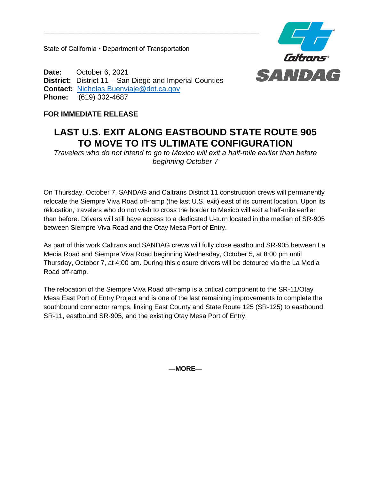State of California • Department of Transportation



**Date:** October 6, 2021 **District:** District 11 – San Diego and Imperial Counties **Contact:** [Nicholas.Buenviaje@dot.ca.gov](mailto:Nicholas.Buenviaje@dot.ca.gov) **Phone:** (619) 302-4687

## **FOR IMMEDIATE RELEASE**

## **LAST U.S. EXIT ALONG EASTBOUND STATE ROUTE 905 TO MOVE TO ITS ULTIMATE CONFIGURATION**

*Travelers who do not intend to go to Mexico will exit a half-mile earlier than before beginning October 7*

On Thursday, October 7, SANDAG and Caltrans District 11 construction crews will permanently relocate the Siempre Viva Road off-ramp (the last U.S. exit) east of its current location. Upon its relocation, travelers who do not wish to cross the border to Mexico will exit a half-mile earlier than before. Drivers will still have access to a dedicated U-turn located in the median of SR-905 between Siempre Viva Road and the Otay Mesa Port of Entry.

As part of this work Caltrans and SANDAG crews will fully close eastbound SR-905 between La Media Road and Siempre Viva Road beginning Wednesday, October 5, at 8:00 pm until Thursday, October 7, at 4:00 am. During this closure drivers will be detoured via the La Media Road off-ramp.

The relocation of the Siempre Viva Road off-ramp is a critical component to the SR-11/Otay Mesa East Port of Entry Project and is one of the last remaining improvements to complete the southbound connector ramps, linking East County and State Route 125 (SR-125) to eastbound SR-11, eastbound SR-905, and the existing Otay Mesa Port of Entry.

**—MORE—**